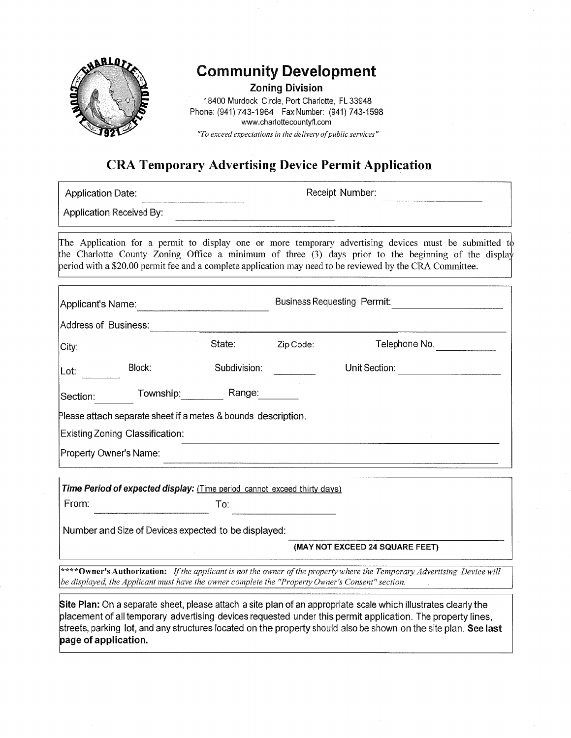

## **Community Development**

**Zoning Division** 

18400 Murdock Circle, Port Charlotte, FL 33948 Phone: (941) 743-1964 Fax Number: (941) 743-1598 www.charlottecountyfl.com "To exceed expectations in the delivery of public services"

## **CRA Temporary Advertising Device Permit Application**

| <b>Application Date:</b>                                                                                                                                                                                                                                                                                                    |                                                               |              | Receipt Number:                    |               |  |  |  |  |
|-----------------------------------------------------------------------------------------------------------------------------------------------------------------------------------------------------------------------------------------------------------------------------------------------------------------------------|---------------------------------------------------------------|--------------|------------------------------------|---------------|--|--|--|--|
|                                                                                                                                                                                                                                                                                                                             | Application Received By:                                      |              |                                    |               |  |  |  |  |
| The Application for a permit to display one or more temporary advertising devices must be submitted to<br>the Charlotte County Zoning Office a minimum of three (3) days prior to the beginning of the display<br>period with a \$20.00 permit fee and a complete application may need to be reviewed by the CRA Committee. |                                                               |              |                                    |               |  |  |  |  |
| Applicant's Name:                                                                                                                                                                                                                                                                                                           |                                                               |              | <b>Business Requesting Permit:</b> |               |  |  |  |  |
| Address of Business:                                                                                                                                                                                                                                                                                                        |                                                               |              |                                    |               |  |  |  |  |
| City:                                                                                                                                                                                                                                                                                                                       |                                                               | State:       | Zip Code:                          | Telephone No. |  |  |  |  |
| Lot:                                                                                                                                                                                                                                                                                                                        | Block:                                                        | Subdivision: |                                    | Unit Section: |  |  |  |  |
| Section:                                                                                                                                                                                                                                                                                                                    | Township:                                                     | Range:       |                                    |               |  |  |  |  |
|                                                                                                                                                                                                                                                                                                                             | Please attach separate sheet if a metes & bounds description. |              |                                    |               |  |  |  |  |
|                                                                                                                                                                                                                                                                                                                             | <b>Existing Zoning Classification:</b>                        |              |                                    |               |  |  |  |  |
| Property Owner's Name:                                                                                                                                                                                                                                                                                                      |                                                               |              |                                    |               |  |  |  |  |

Time Period of expected display: (Time period cannot exceed thirty days) To:

From:

Number and Size of Devices expected to be displayed:

(MAY NOT EXCEED 24 SQUARE FEET)

\*\*\*\*Owner's Authorization: If the applicant is not the owner of the property where the Temporary Advertising Device will be displayed, the Applicant must have the owner complete the "Property Owner's Consent" section.

Site Plan: On a separate sheet, please attach a site plan of an appropriate scale which illustrates clearly the placement of all temporary advertising devices requested under this permit application. The property lines, streets, parking lot, and any structures located on the property should also be shown on the site plan. See last page of application.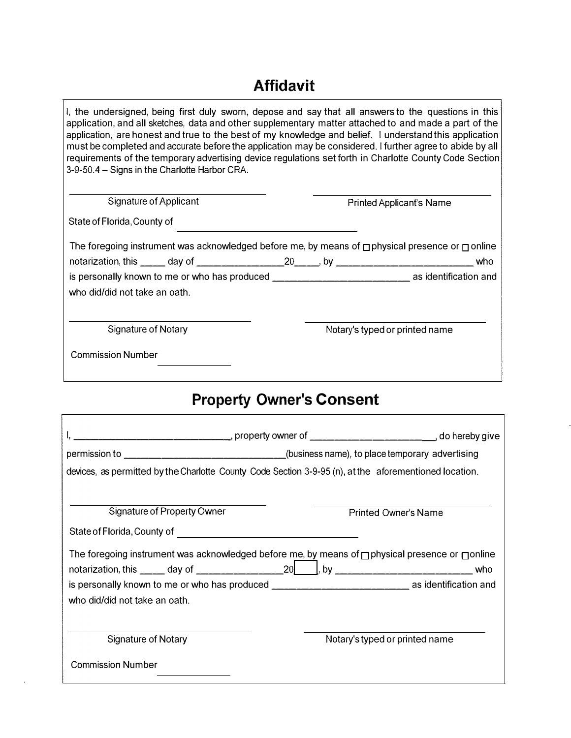## **Affidavit**

I, the undersigned, being first duly sworn, depose and say that all answers to the questions in this application, and all sketches, data and other supplementary matter attached to and made a part of the application, are honest and true to the best of my knowledge and belief. I understand this application must be completed and accurate before the application may be considered. I further agree to abide by all requirements of the temporary advertising device regulations set forth in Charlotte County Code Section 3-9-50.4 - Signs in the Charlotte Harbor CRA.

| Signature of Applicant                                                                                     |  | <b>Printed Applicant's Name</b> |     |  |
|------------------------------------------------------------------------------------------------------------|--|---------------------------------|-----|--|
| State of Florida, County of                                                                                |  |                                 |     |  |
| The foregoing instrument was acknowledged before me, by means of $\Box$ physical presence or $\Box$ online |  |                                 |     |  |
|                                                                                                            |  |                                 | who |  |
| is personally known to me or who has produced __________________________________ as identification and     |  |                                 |     |  |
| who did/did not take an oath.                                                                              |  |                                 |     |  |
| Signature of Notary                                                                                        |  | Notary's typed or printed name  |     |  |
| <b>Commission Number</b>                                                                                   |  |                                 |     |  |

## **Property Owner's Consent**

| _________________________________, property owner of __________________________________, do hereby give    |  |                                |  |  |  |  |  |
|------------------------------------------------------------------------------------------------------------|--|--------------------------------|--|--|--|--|--|
| permission to _______________________________(business name), to place temporary advertising               |  |                                |  |  |  |  |  |
| devices, as permitted by the Charlotte County Code Section 3-9-95 (n), at the aforementioned location.     |  |                                |  |  |  |  |  |
| Signature of Property Owner                                                                                |  | Printed Owner's Name           |  |  |  |  |  |
| State of Florida, County of <b>Community and Contract Contract County of</b>                               |  |                                |  |  |  |  |  |
| The foregoing instrument was acknowledged before me, by means of $\Box$ physical presence or $\Box$ online |  |                                |  |  |  |  |  |
|                                                                                                            |  | who                            |  |  |  |  |  |
| is personally known to me or who has produced __________________________________ as identification and     |  |                                |  |  |  |  |  |
| who did/did not take an oath.                                                                              |  |                                |  |  |  |  |  |
| Signature of Notary                                                                                        |  | Notary's typed or printed name |  |  |  |  |  |
| <b>Commission Number</b>                                                                                   |  |                                |  |  |  |  |  |